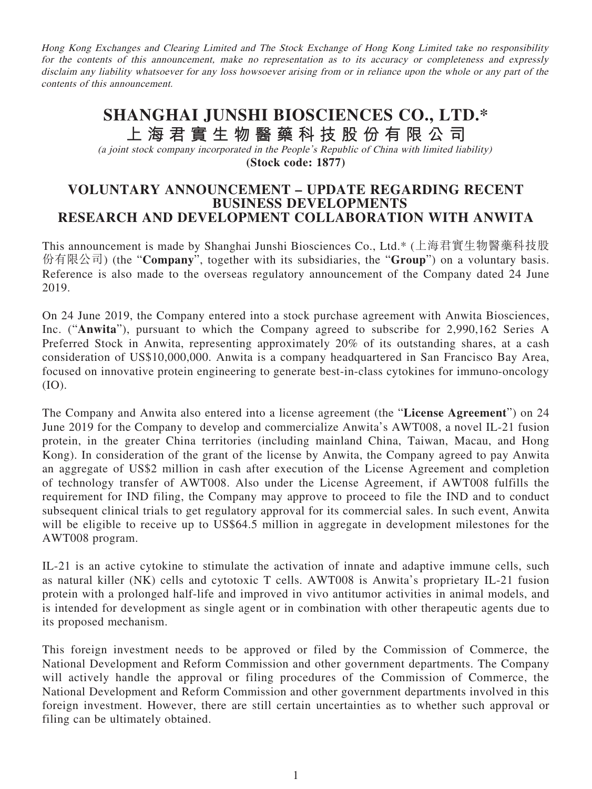Hong Kong Exchanges and Clearing Limited and The Stock Exchange of Hong Kong Limited take no responsibility for the contents of this announcement, make no representation as to its accuracy or completeness and expressly disclaim any liability whatsoever for any loss howsoever arising from or in reliance upon the whole or any part of the contents of this announcement.

## **SHANGHAI JUNSHI BIOSCIENCES CO., LTD.\* 上海君實生物醫藥科技股份有限公司** (a joint stock company incorporated in the People's Republic of China with limited liability)

**(Stock code: 1877)**

## **VOLUNTARY ANNOUNCEMENT – UPDATE REGARDING RECENT BUSINESS DEVELOPMENTS RESEARCH AND DEVELOPMENT COLLABORATION WITH ANWITA**

This announcement is made by Shanghai Junshi Biosciences Co., Ltd.\* (上海君實生物醫藥科技股 份有限公司) (the "**Company**", together with its subsidiaries, the "**Group**") on a voluntary basis. Reference is also made to the overseas regulatory announcement of the Company dated 24 June 2019.

On 24 June 2019, the Company entered into a stock purchase agreement with Anwita Biosciences, Inc. ("**Anwita**"), pursuant to which the Company agreed to subscribe for 2,990,162 Series A Preferred Stock in Anwita, representing approximately 20% of its outstanding shares, at a cash consideration of US\$10,000,000. Anwita is a company headquartered in San Francisco Bay Area, focused on innovative protein engineering to generate best-in-class cytokines for immuno-oncology (IO).

The Company and Anwita also entered into a license agreement (the "**License Agreement**") on 24 June 2019 for the Company to develop and commercialize Anwita's AWT008, a novel IL-21 fusion protein, in the greater China territories (including mainland China, Taiwan, Macau, and Hong Kong). In consideration of the grant of the license by Anwita, the Company agreed to pay Anwita an aggregate of US\$2 million in cash after execution of the License Agreement and completion of technology transfer of AWT008. Also under the License Agreement, if AWT008 fulfills the requirement for IND filing, the Company may approve to proceed to file the IND and to conduct subsequent clinical trials to get regulatory approval for its commercial sales. In such event, Anwita will be eligible to receive up to US\$64.5 million in aggregate in development milestones for the AWT008 program.

IL-21 is an active cytokine to stimulate the activation of innate and adaptive immune cells, such as natural killer (NK) cells and cytotoxic T cells. AWT008 is Anwita's proprietary IL-21 fusion protein with a prolonged half-life and improved in vivo antitumor activities in animal models, and is intended for development as single agent or in combination with other therapeutic agents due to its proposed mechanism.

This foreign investment needs to be approved or filed by the Commission of Commerce, the National Development and Reform Commission and other government departments. The Company will actively handle the approval or filing procedures of the Commission of Commerce, the National Development and Reform Commission and other government departments involved in this foreign investment. However, there are still certain uncertainties as to whether such approval or filing can be ultimately obtained.